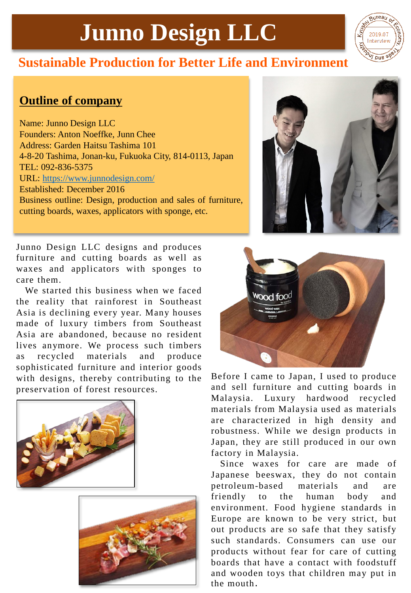## **Junno Design LLC**



## **Sustainable Production for Better Life and Environment**

## **Outline of company**

Name: Junno Design LLC Founders: Anton Noeffke, Junn Chee Address: Garden Haitsu Tashima 101 4-8-20 Tashima, Jonan-ku, Fukuoka City, 814-0113, Japan TEL: 092-836-5375 URL: <https://www.junnodesign.com/> Established: December 2016 Business outline: Design, production and sales of furniture, cutting boards, waxes, applicators with sponge, etc.



Junno Design LLC designs and produces furniture and cutting boards as well as waxes and applicators with sponges to care them.

We started this business when we faced the reality that rainforest in Southeast Asia is declining every year. Many houses made of luxury timbers from Southeast Asia are abandoned, because no resident lives anymore. We process such timbers as recycled materials and produce sophisticated furniture and interior goods with designs, thereby contributing to the preservation of forest resources.







Before I came to Japan, I used to produce and sell furniture and cutting boards in Malaysia. Luxury hardwood recycled materials from Malaysia used as materials are characterized in high density and robustness. While we design products in Japan, they are still produced in our own factory in Malaysia.

Since waxes for care are made of Japanese beeswax, they do not contain petroleum-based materials and are friendly to the human body and environment. Food hygiene standards in Europe are known to be very strict, but out products are so safe that they satisfy such standards. Consumers can use our products without fear for care of cutting boards that have a contact with foodstuff and wooden toys that children may put in the mouth.